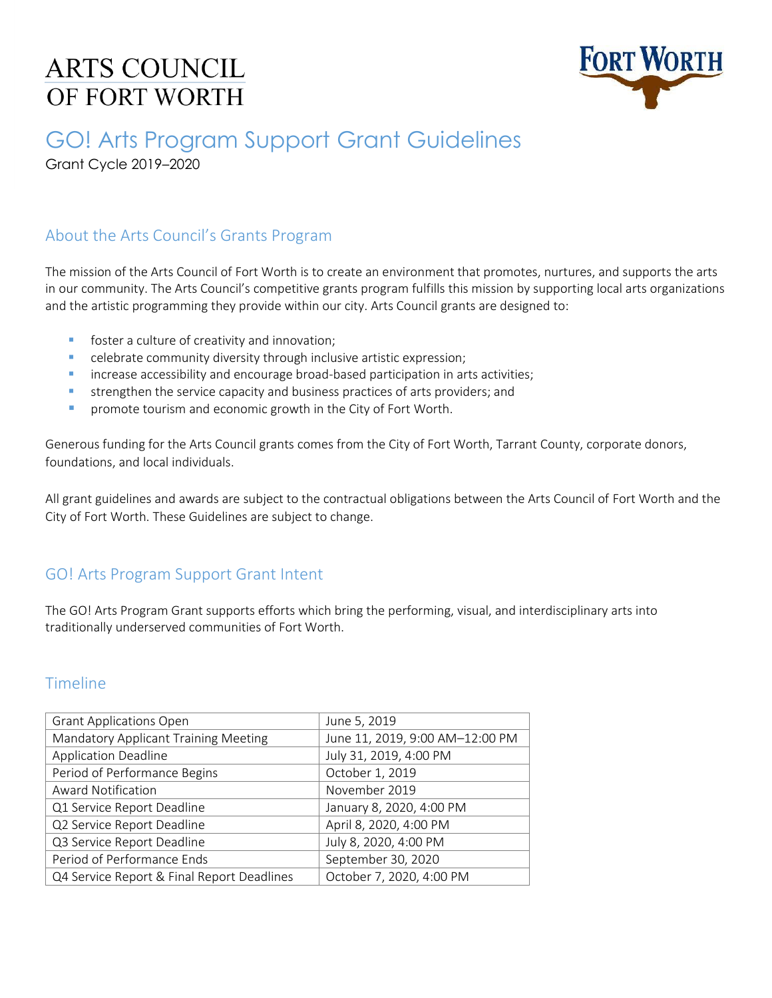# **ARTS COUNCIL** OF FORT WORTH



# GO! Arts Program Support Grant Guidelines

Grant Cycle 2019–2020

#### About the Arts Council's Grants Program

The mission of the Arts Council of Fort Worth is to create an environment that promotes, nurtures, and supports the arts in our community. The Arts Council's competitive grants program fulfills this mission by supporting local arts organizations and the artistic programming they provide within our city. Arts Council grants are designed to:

- foster a culture of creativity and innovation;
- celebrate community diversity through inclusive artistic expression;
- **EXEDENT** increase accessibility and encourage broad-based participation in arts activities;
- **EXECT** strengthen the service capacity and business practices of arts providers; and
- **•** promote tourism and economic growth in the City of Fort Worth.

Generous funding for the Arts Council grants comes from the City of Fort Worth, Tarrant County, corporate donors, foundations, and local individuals.

All grant guidelines and awards are subject to the contractual obligations between the Arts Council of Fort Worth and the City of Fort Worth. These Guidelines are subject to change.

### GO! Arts Program Support Grant Intent

The GO! Arts Program Grant supports efforts which bring the performing, visual, and interdisciplinary arts into traditionally underserved communities of Fort Worth.

#### Timeline

| <b>Grant Applications Open</b>             | June 5, 2019                    |
|--------------------------------------------|---------------------------------|
| Mandatory Applicant Training Meeting       | June 11, 2019, 9:00 AM-12:00 PM |
| <b>Application Deadline</b>                | July 31, 2019, 4:00 PM          |
| Period of Performance Begins               | October 1, 2019                 |
| <b>Award Notification</b>                  | November 2019                   |
| Q1 Service Report Deadline                 | January 8, 2020, 4:00 PM        |
| Q2 Service Report Deadline                 | April 8, 2020, 4:00 PM          |
| Q3 Service Report Deadline                 | July 8, 2020, 4:00 PM           |
| Period of Performance Ends                 | September 30, 2020              |
| Q4 Service Report & Final Report Deadlines | October 7, 2020, 4:00 PM        |
|                                            |                                 |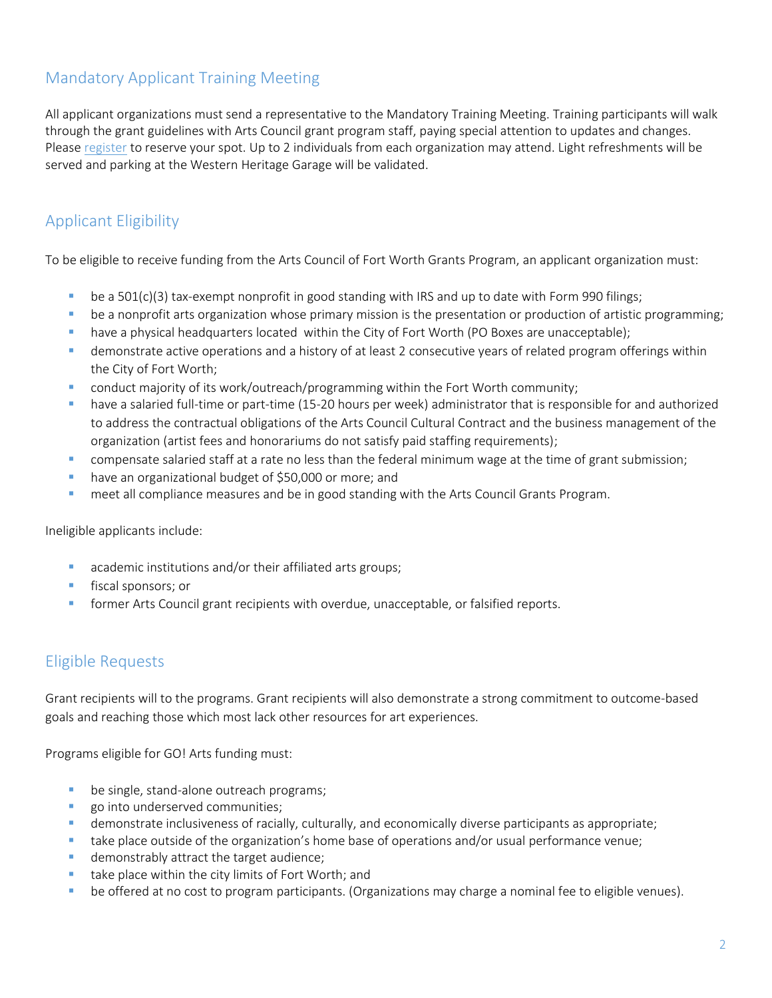## Mandatory Applicant Training Meeting

All applicant organizations must send a representative to the Mandatory Training Meeting. Training participants will walk through the grant guidelines with Arts Council grant program staff, paying special attention to updates and changes. Please [register](https://secure.lglforms.com/form_engine/s/s3em6n0LfxdLq6mu5XTGtQ) to reserve your spot. Up to 2 individuals from each organization may attend. Light refreshments will be served and parking at the Western Heritage Garage will be validated.

## Applicant Eligibility

To be eligible to receive funding from the Arts Council of Fort Worth Grants Program, an applicant organization must:

- be a  $501(c)(3)$  tax-exempt nonprofit in good standing with IRS and up to date with Form 990 filings;
- **•** be a nonprofit arts organization whose primary mission is the presentation or production of artistic programming;
- have a physical headquarters located within the City of Fort Worth (PO Boxes are unacceptable);
- **EXED** demonstrate active operations and a history of at least 2 consecutive years of related program offerings within the City of Fort Worth;
- conduct majority of its work/outreach/programming within the Fort Worth community;
- **Thave a salaried full-time or part-time (15-20 hours per week) administrator that is responsible for and authorized** to address the contractual obligations of the Arts Council Cultural Contract and the business management of the organization (artist fees and honorariums do not satisfy paid staffing requirements);
- **•** compensate salaried staff at a rate no less than the federal minimum wage at the time of grant submission;
- have an organizational budget of \$50,000 or more; and
- meet all compliance measures and be in good standing with the Arts Council Grants Program.

Ineligible applicants include:

- academic institutions and/or their affiliated arts groups;
- fiscal sponsors; or
- former Arts Council grant recipients with overdue, unacceptable, or falsified reports.

### Eligible Requests

Grant recipients will to the programs. Grant recipients will also demonstrate a strong commitment to outcome-based goals and reaching those which most lack other resources for art experiences.

Programs eligible for GO! Arts funding must:

- be single, stand-alone outreach programs;
- **•** go into underserved communities;
- demonstrate inclusiveness of racially, culturally, and economically diverse participants as appropriate;
- take place outside of the organization's home base of operations and/or usual performance venue;
- demonstrably attract the target audience;
- take place within the city limits of Fort Worth; and
- be offered at no cost to program participants. (Organizations may charge a nominal fee to eligible venues).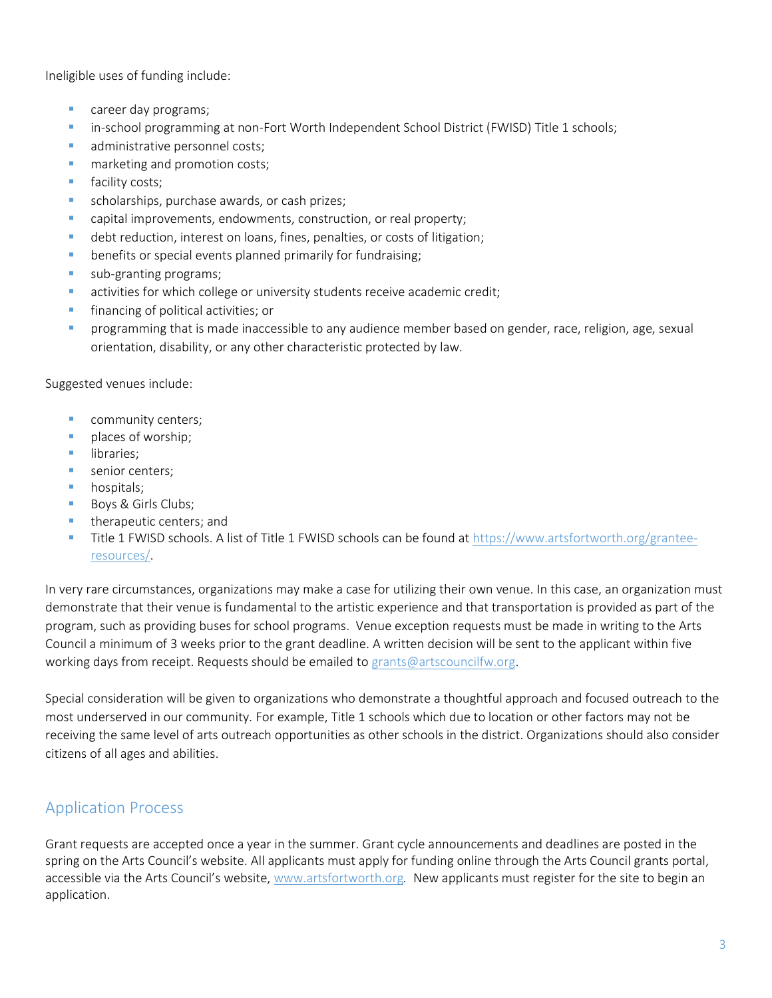Ineligible uses of funding include:

- career day programs;
- **•** in-school programming at non-Fort Worth Independent School District (FWISD) Title 1 schools;
- administrative personnel costs;
- marketing and promotion costs;
- facility costs:
- **E** scholarships, purchase awards, or cash prizes;
- capital improvements, endowments, construction, or real property;
- **•** debt reduction, interest on loans, fines, penalties, or costs of litigation;
- **E** benefits or special events planned primarily for fundraising;
- **E** sub-granting programs;
- **EXECT** activities for which college or university students receive academic credit;
- financing of political activities; or
- programming that is made inaccessible to any audience member based on gender, race, religion, age, sexual orientation, disability, or any other characteristic protected by law.

Suggested venues include:

- community centers;
- **·** places of worship;
- libraries:
- **E** senior centers;
- hospitals;
- Boys & Girls Clubs;
- therapeutic centers; and
- **Title 1 FWISD schools. A list of Title 1 FWISD schools can be found at [https://www.artsfortworth.org/grantee](https://www.artsfortworth.org/grantee-resources/)**[resources/.](https://www.artsfortworth.org/grantee-resources/)

In very rare circumstances, organizations may make a case for utilizing their own venue. In this case, an organization must demonstrate that their venue is fundamental to the artistic experience and that transportation is provided as part of the program, such as providing buses for school programs. Venue exception requests must be made in writing to the Arts Council a minimum of 3 weeks prior to the grant deadline. A written decision will be sent to the applicant within five working days from receipt. Requests should be emailed t[o grants@artscouncilfw.org.](mailto:grants@artscouncilfw.org)

Special consideration will be given to organizations who demonstrate a thoughtful approach and focused outreach to the most underserved in our community. For example, Title 1 schools which due to location or other factors may not be receiving the same level of arts outreach opportunities as other schools in the district. Organizations should also consider citizens of all ages and abilities.

### Application Process

Grant requests are accepted once a year in the summer. Grant cycle announcements and deadlines are posted in the spring on the Arts Council's website. All applicants must apply for funding online through the Arts Council grants portal, accessible via the Arts Council's website, [www.artsfortworth.org](http://www.artsfortworth.org/apply)*.* New applicants must register for the site to begin an application.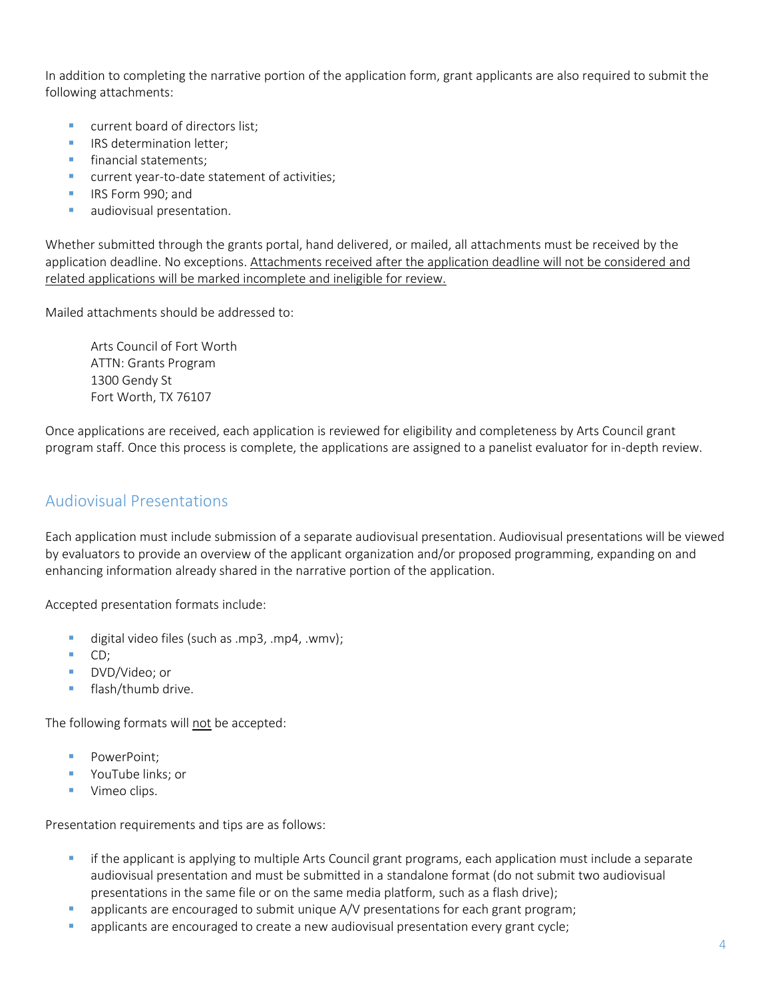In addition to completing the narrative portion of the application form, grant applicants are also required to submit the following attachments:

- current board of directors list;
- **IRS determination letter:**
- financial statements:
- **E** current year-to-date statement of activities;
- IRS Form 990; and
- **■** audiovisual presentation.

Whether submitted through the grants portal, hand delivered, or mailed, all attachments must be received by the application deadline. No exceptions. Attachments received after the application deadline will not be considered and related applications will be marked incomplete and ineligible for review.

Mailed attachments should be addressed to:

Arts Council of Fort Worth ATTN: Grants Program 1300 Gendy St Fort Worth, TX 76107

Once applications are received, each application is reviewed for eligibility and completeness by Arts Council grant program staff. Once this process is complete, the applications are assigned to a panelist evaluator for in-depth review.

#### Audiovisual Presentations

Each application must include submission of a separate audiovisual presentation. Audiovisual presentations will be viewed by evaluators to provide an overview of the applicant organization and/or proposed programming, expanding on and enhancing information already shared in the narrative portion of the application.

Accepted presentation formats include:

- digital video files (such as .mp3, .mp4, .wmv);
- CD:
- DVD/Video: or
- flash/thumb drive.

The following formats will not be accepted:

- PowerPoint:
- YouTube links; or
- Vimeo clips.

Presentation requirements and tips are as follows:

- **•** if the applicant is applying to multiple Arts Council grant programs, each application must include a separate audiovisual presentation and must be submitted in a standalone format (do not submit two audiovisual presentations in the same file or on the same media platform, such as a flash drive);
- applicants are encouraged to submit unique A/V presentations for each grant program;
- applicants are encouraged to create a new audiovisual presentation every grant cycle;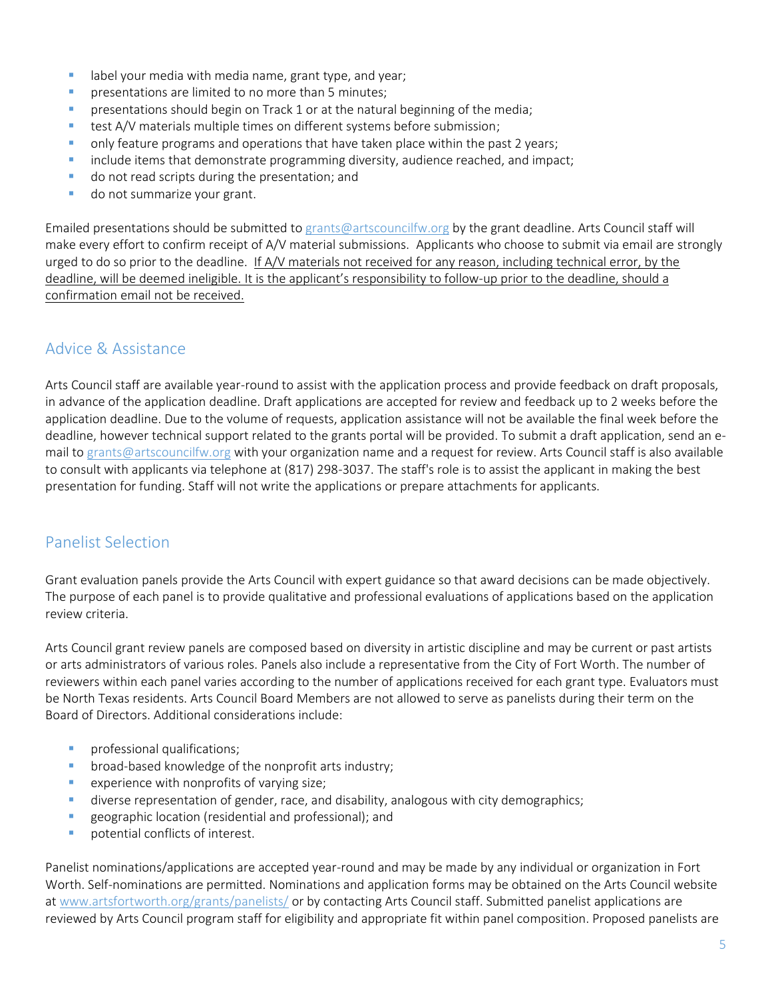- **EXTED 10 I** label your media with media name, grant type, and year;
- **•** presentations are limited to no more than 5 minutes;
- **•** presentations should begin on Track 1 or at the natural beginning of the media;
- test A/V materials multiple times on different systems before submission;
- only feature programs and operations that have taken place within the past 2 years;
- include items that demonstrate programming diversity, audience reached, and impact;
- do not read scripts during the presentation; and
- **■** do not summarize your grant.

Emailed presentations should be submitted to [grants@artscouncilfw.org](mailto:grants@artscouncilfw.org) by the grant deadline. Arts Council staff will make every effort to confirm receipt of A/V material submissions. Applicants who choose to submit via email are strongly urged to do so prior to the deadline. If A/V materials not received for any reason, including technical error, by the deadline, will be deemed ineligible. It is the applicant's responsibility to follow-up prior to the deadline, should a confirmation email not be received.

### Advice & Assistance

Arts Council staff are available year-round to assist with the application process and provide feedback on draft proposals, in advance of the application deadline. Draft applications are accepted for review and feedback up to 2 weeks before the application deadline. Due to the volume of requests, application assistance will not be available the final week before the deadline, however technical support related to the grants portal will be provided. To submit a draft application, send an email to [grants@artscouncilfw.org](mailto:grants@artscouncilfw.org) with your organization name and a request for review. Arts Council staff is also available to consult with applicants via telephone at (817) 298-3037. The staff's role is to assist the applicant in making the best presentation for funding. Staff will not write the applications or prepare attachments for applicants.

#### Panelist Selection

Grant evaluation panels provide the Arts Council with expert guidance so that award decisions can be made objectively. The purpose of each panel is to provide qualitative and professional evaluations of applications based on the application review criteria.

Arts Council grant review panels are composed based on diversity in artistic discipline and may be current or past artists or arts administrators of various roles. Panels also include a representative from the City of Fort Worth. The number of reviewers within each panel varies according to the number of applications received for each grant type. Evaluators must be North Texas residents. Arts Council Board Members are not allowed to serve as panelists during their term on the Board of Directors. Additional considerations include:

- **·** professional qualifications;
- broad-based knowledge of the nonprofit arts industry;
- experience with nonprofits of varying size;
- **■** diverse representation of gender, race, and disability, analogous with city demographics;
- **EXE** geographic location (residential and professional); and
- potential conflicts of interest.

Panelist nominations/applications are accepted year-round and may be made by any individual or organization in Fort Worth. Self-nominations are permitted. Nominations and application forms may be obtained on the Arts Council website at [www.artsfortworth.org/grants/panelists/](http://www.artsfortworth.org/grants/panelists/) or by contacting Arts Council staff. Submitted panelist applications are reviewed by Arts Council program staff for eligibility and appropriate fit within panel composition. Proposed panelists are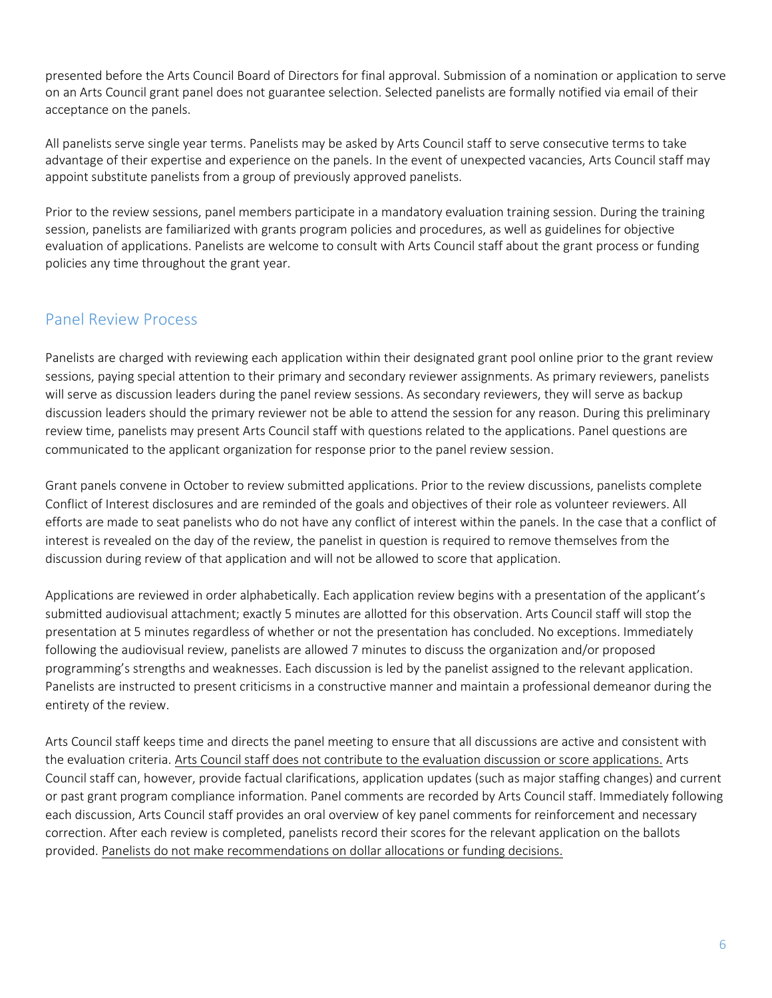presented before the Arts Council Board of Directors for final approval. Submission of a nomination or application to serve on an Arts Council grant panel does not guarantee selection. Selected panelists are formally notified via email of their acceptance on the panels.

All panelists serve single year terms. Panelists may be asked by Arts Council staff to serve consecutive terms to take advantage of their expertise and experience on the panels. In the event of unexpected vacancies, Arts Council staff may appoint substitute panelists from a group of previously approved panelists.

Prior to the review sessions, panel members participate in a mandatory evaluation training session. During the training session, panelists are familiarized with grants program policies and procedures, as well as guidelines for objective evaluation of applications. Panelists are welcome to consult with Arts Council staff about the grant process or funding policies any time throughout the grant year.

#### Panel Review Process

Panelists are charged with reviewing each application within their designated grant pool online prior to the grant review sessions, paying special attention to their primary and secondary reviewer assignments. As primary reviewers, panelists will serve as discussion leaders during the panel review sessions. As secondary reviewers, they will serve as backup discussion leaders should the primary reviewer not be able to attend the session for any reason. During this preliminary review time, panelists may present Arts Council staff with questions related to the applications. Panel questions are communicated to the applicant organization for response prior to the panel review session.

Grant panels convene in October to review submitted applications. Prior to the review discussions, panelists complete Conflict of Interest disclosures and are reminded of the goals and objectives of their role as volunteer reviewers. All efforts are made to seat panelists who do not have any conflict of interest within the panels. In the case that a conflict of interest is revealed on the day of the review, the panelist in question is required to remove themselves from the discussion during review of that application and will not be allowed to score that application.

Applications are reviewed in order alphabetically. Each application review begins with a presentation of the applicant's submitted audiovisual attachment; exactly 5 minutes are allotted for this observation. Arts Council staff will stop the presentation at 5 minutes regardless of whether or not the presentation has concluded. No exceptions. Immediately following the audiovisual review, panelists are allowed 7 minutes to discuss the organization and/or proposed programming's strengths and weaknesses. Each discussion is led by the panelist assigned to the relevant application. Panelists are instructed to present criticisms in a constructive manner and maintain a professional demeanor during the entirety of the review.

Arts Council staff keeps time and directs the panel meeting to ensure that all discussions are active and consistent with the evaluation criteria. Arts Council staff does not contribute to the evaluation discussion or score applications. Arts Council staff can, however, provide factual clarifications, application updates (such as major staffing changes) and current or past grant program compliance information. Panel comments are recorded by Arts Council staff. Immediately following each discussion, Arts Council staff provides an oral overview of key panel comments for reinforcement and necessary correction. After each review is completed, panelists record their scores for the relevant application on the ballots provided. Panelists do not make recommendations on dollar allocations or funding decisions.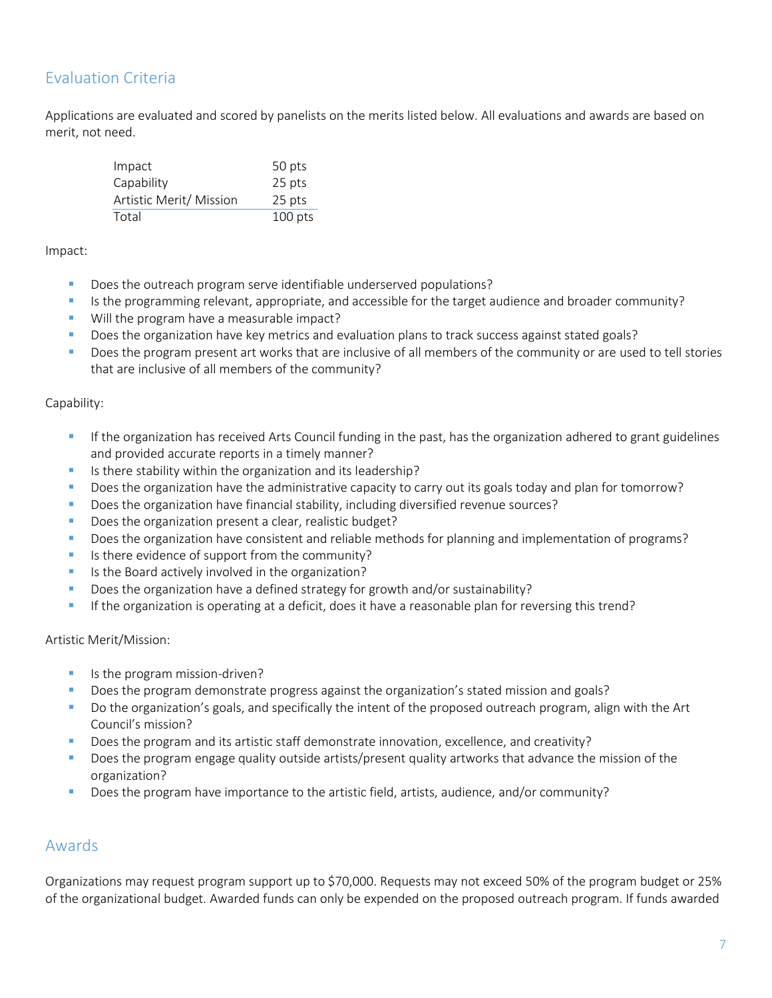## Evaluation Criteria

Applications are evaluated and scored by panelists on the merits listed below. All evaluations and awards are based on merit, not need.

| Impact                  | 50 pts    |
|-------------------------|-----------|
| Capability              | 25 pts    |
| Artistic Merit/ Mission | 25 pts    |
| Total                   | $100$ pts |

Impact:

- Does the outreach program serve identifiable underserved populations?
- Is the programming relevant, appropriate, and accessible for the target audience and broader community?
- Will the program have a measurable impact?
- Does the organization have key metrics and evaluation plans to track success against stated goals?
- Does the program present art works that are inclusive of all members of the community or are used to tell stories that are inclusive of all members of the community?

#### Capability:

- If the organization has received Arts Council funding in the past, has the organization adhered to grant guidelines and provided accurate reports in a timely manner?
- **E** Is there stability within the organization and its leadership?
- Does the organization have the administrative capacity to carry out its goals today and plan for tomorrow?
- **•** Does the organization have financial stability, including diversified revenue sources?
- Does the organization present a clear, realistic budget?
- Does the organization have consistent and reliable methods for planning and implementation of programs?
- **EXEC** Is there evidence of support from the community?
- Is the Board actively involved in the organization?
- Does the organization have a defined strategy for growth and/or sustainability?
- If the organization is operating at a deficit, does it have a reasonable plan for reversing this trend?

Artistic Merit/Mission:

- Is the program mission-driven?
- Does the program demonstrate progress against the organization's stated mission and goals?
- Do the organization's goals, and specifically the intent of the proposed outreach program, align with the Art Council's mission?
- Does the program and its artistic staff demonstrate innovation, excellence, and creativity?
- Does the program engage quality outside artists/present quality artworks that advance the mission of the organization?
- Does the program have importance to the artistic field, artists, audience, and/or community?

#### Awards

Organizations may request program support up to \$70,000. Requests may not exceed 50% of the program budget or 25% of the organizational budget. Awarded funds can only be expended on the proposed outreach program. If funds awarded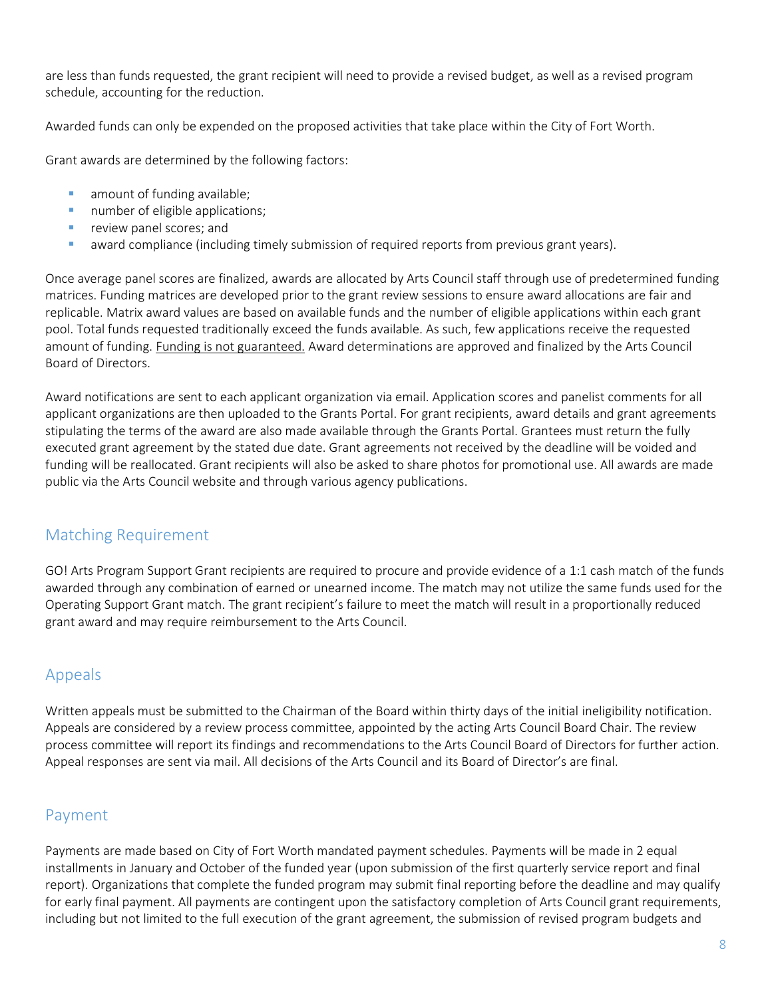are less than funds requested, the grant recipient will need to provide a revised budget, as well as a revised program schedule, accounting for the reduction.

Awarded funds can only be expended on the proposed activities that take place within the City of Fort Worth.

Grant awards are determined by the following factors:

- **■** amount of funding available;
- number of eligible applications;
- **·** review panel scores; and
- **•** award compliance (including timely submission of required reports from previous grant years).

Once average panel scores are finalized, awards are allocated by Arts Council staff through use of predetermined funding matrices. Funding matrices are developed prior to the grant review sessions to ensure award allocations are fair and replicable. Matrix award values are based on available funds and the number of eligible applications within each grant pool. Total funds requested traditionally exceed the funds available. As such, few applications receive the requested amount of funding. Funding is not guaranteed. Award determinations are approved and finalized by the Arts Council Board of Directors.

Award notifications are sent to each applicant organization via email. Application scores and panelist comments for all applicant organizations are then uploaded to the Grants Portal. For grant recipients, award details and grant agreements stipulating the terms of the award are also made available through the Grants Portal. Grantees must return the fully executed grant agreement by the stated due date. Grant agreements not received by the deadline will be voided and funding will be reallocated. Grant recipients will also be asked to share photos for promotional use. All awards are made public via the Arts Council website and through various agency publications.

### Matching Requirement

GO! Arts Program Support Grant recipients are required to procure and provide evidence of a 1:1 cash match of the funds awarded through any combination of earned or unearned income. The match may not utilize the same funds used for the Operating Support Grant match. The grant recipient's failure to meet the match will result in a proportionally reduced grant award and may require reimbursement to the Arts Council.

### Appeals

Written appeals must be submitted to the Chairman of the Board within thirty days of the initial ineligibility notification. Appeals are considered by a review process committee, appointed by the acting Arts Council Board Chair. The review process committee will report its findings and recommendations to the Arts Council Board of Directors for further action. Appeal responses are sent via mail. All decisions of the Arts Council and its Board of Director's are final.

#### Payment

Payments are made based on City of Fort Worth mandated payment schedules. Payments will be made in 2 equal installments in January and October of the funded year (upon submission of the first quarterly service report and final report). Organizations that complete the funded program may submit final reporting before the deadline and may qualify for early final payment. All payments are contingent upon the satisfactory completion of Arts Council grant requirements, including but not limited to the full execution of the grant agreement, the submission of revised program budgets and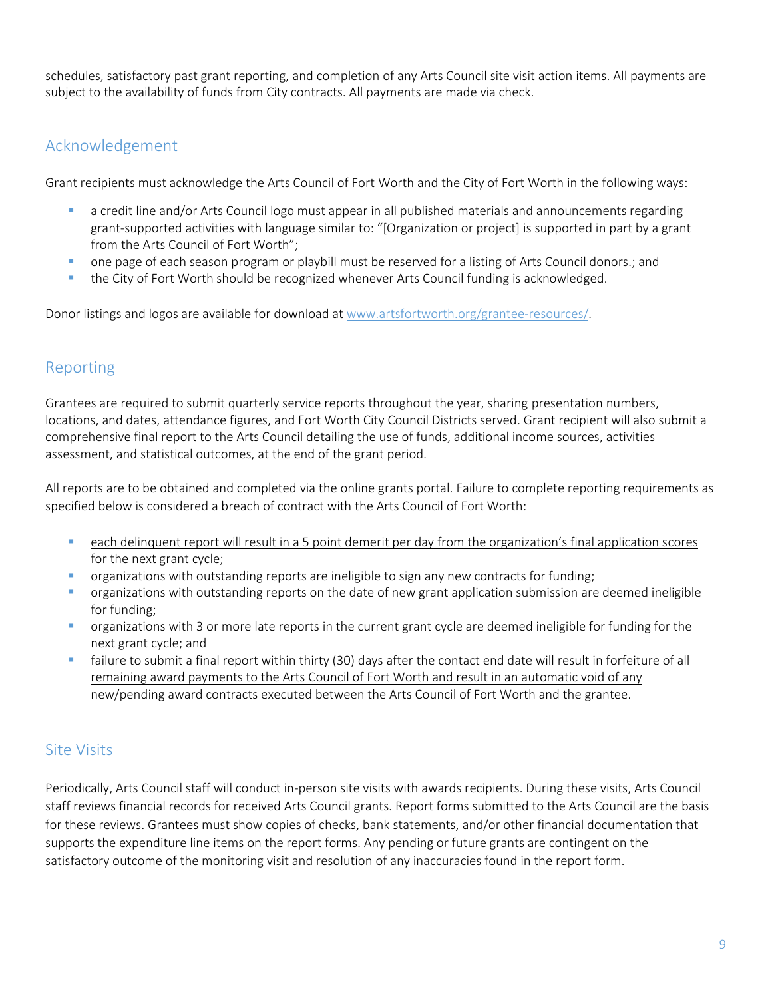schedules, satisfactory past grant reporting, and completion of any Arts Council site visit action items. All payments are subject to the availability of funds from City contracts. All payments are made via check.

### Acknowledgement

Grant recipients must acknowledge the Arts Council of Fort Worth and the City of Fort Worth in the following ways:

- **•** a credit line and/or Arts Council logo must appear in all published materials and announcements regarding grant-supported activities with language similar to: "[Organization or project] is supported in part by a grant from the Arts Council of Fort Worth";
- one page of each season program or playbill must be reserved for a listing of Arts Council donors.; and
- the City of Fort Worth should be recognized whenever Arts Council funding is acknowledged.

Donor listings and logos are available for download at [www.artsfortworth.org/grantee-resources/](http://www.artsfortworth.org/grantee-resources).

#### Reporting

Grantees are required to submit quarterly service reports throughout the year, sharing presentation numbers, locations, and dates, attendance figures, and Fort Worth City Council Districts served. Grant recipient will also submit a comprehensive final report to the Arts Council detailing the use of funds, additional income sources, activities assessment, and statistical outcomes, at the end of the grant period.

All reports are to be obtained and completed via the online grants portal. Failure to complete reporting requirements as specified below is considered a breach of contract with the Arts Council of Fort Worth:

- **•** each delinguent report will result in a 5 point demerit per day from the organization's final application scores for the next grant cycle;
- organizations with outstanding reports are ineligible to sign any new contracts for funding;
- **•** organizations with outstanding reports on the date of new grant application submission are deemed ineligible for funding;
- **•** organizations with 3 or more late reports in the current grant cycle are deemed ineligible for funding for the next grant cycle; and
- **The failure to submit a final report within thirty (30) days after the contact end date will result in forfeiture of all** remaining award payments to the Arts Council of Fort Worth and result in an automatic void of any new/pending award contracts executed between the Arts Council of Fort Worth and the grantee.

### Site Visits

Periodically, Arts Council staff will conduct in-person site visits with awards recipients. During these visits, Arts Council staff reviews financial records for received Arts Council grants. Report forms submitted to the Arts Council are the basis for these reviews. Grantees must show copies of checks, bank statements, and/or other financial documentation that supports the expenditure line items on the report forms. Any pending or future grants are contingent on the satisfactory outcome of the monitoring visit and resolution of any inaccuracies found in the report form.